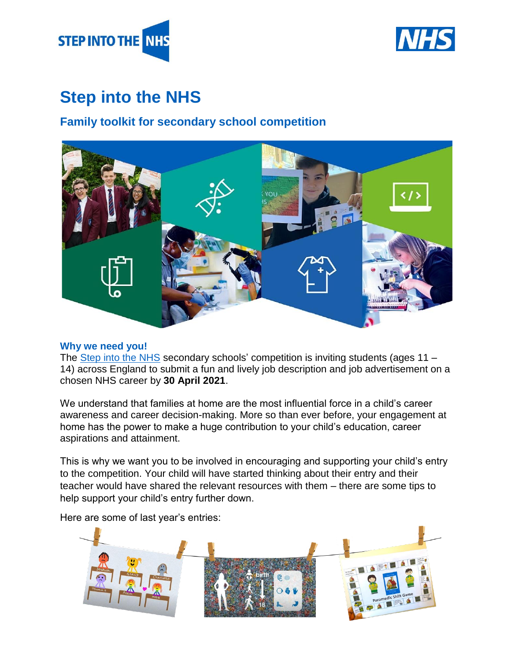



# **Step into the NHS**

## **Family toolkit for secondary school competition**



#### **Why we need you!**

The [Step into the NHS](https://www.stepintothenhs.nhs.uk/) secondary schools' competition is inviting students (ages 11 – 14) across England to submit a fun and lively job description and job advertisement on a chosen NHS career by **30 April 2021**.

We understand that families at home are the most influential force in a child's career awareness and career decision-making. More so than ever before, your engagement at home has the power to make a huge contribution to your child's education, career aspirations and attainment.

This is why we want you to be involved in encouraging and supporting your child's entry to the competition. Your child will have started thinking about their entry and their teacher would have shared the relevant resources with them – there are some tips to help support your child's entry further down.

Here are some of last year's entries:

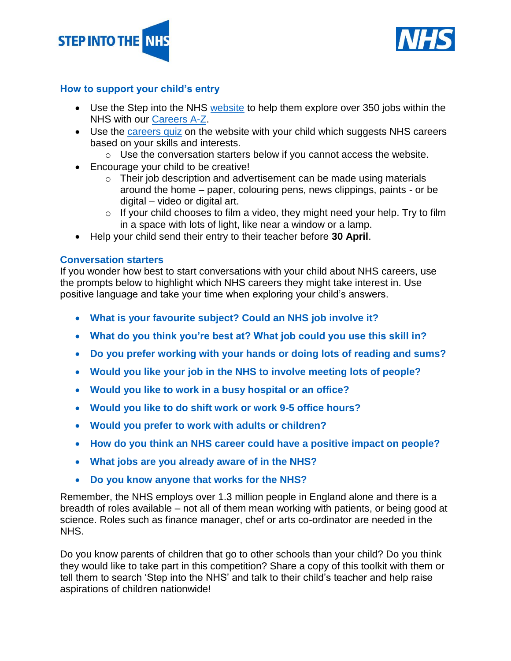



#### **How to support your child's entry**

- Use the Step into the NHS [website](https://www.stepintothenhs.nhs.uk/) to help them explore over 350 jobs within the NHS with our [Careers A-Z.](https://www.stepintothenhs.nhs.uk/careers)
- Use the [careers quiz](https://www.stepintothenhs.nhs.uk/careers/take-the-test) on the website with your child which suggests NHS careers based on your skills and interests.
	- $\circ$  Use the conversation starters below if you cannot access the website.
- Encourage your child to be creative!
	- $\circ$  Their job description and advertisement can be made using materials around the home – paper, colouring pens, news clippings, paints - or be digital – video or digital art.
	- $\circ$  If your child chooses to film a video, they might need your help. Try to film in a space with lots of light, like near a window or a lamp.
- Help your child send their entry to their teacher before **30 April**.

#### **Conversation starters**

If you wonder how best to start conversations with your child about NHS careers, use the prompts below to highlight which NHS careers they might take interest in. Use positive language and take your time when exploring your child's answers.

- **What is your favourite subject? Could an NHS job involve it?**
- **What do you think you're best at? What job could you use this skill in?**
- **Do you prefer working with your hands or doing lots of reading and sums?**
- **Would you like your job in the NHS to involve meeting lots of people?**
- **Would you like to work in a busy hospital or an office?**
- **Would you like to do shift work or work 9-5 office hours?**
- **Would you prefer to work with adults or children?**
- **How do you think an NHS career could have a positive impact on people?**
- **What jobs are you already aware of in the NHS?**
- **Do you know anyone that works for the NHS?**

Remember, the NHS employs over 1.3 million people in England alone and there is a breadth of roles available – not all of them mean working with patients, or being good at science. Roles such as finance manager, chef or arts co-ordinator are needed in the NHS.

Do you know parents of children that go to other schools than your child? Do you think they would like to take part in this competition? Share a copy of this toolkit with them or tell them to search 'Step into the NHS' and talk to their child's teacher and help raise aspirations of children nationwide!